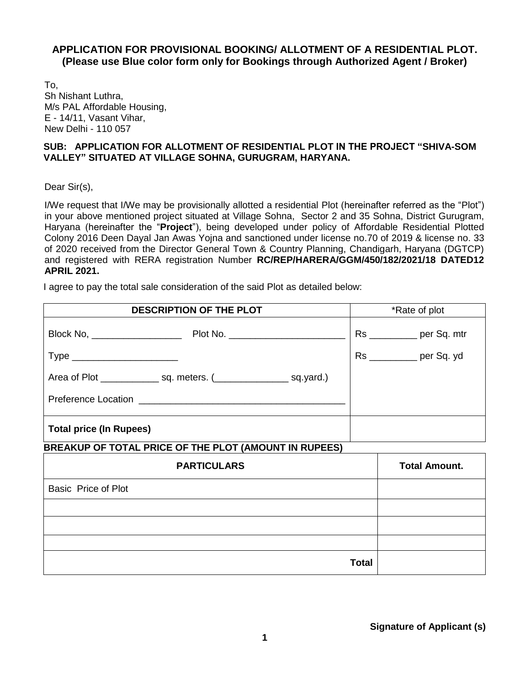## **APPLICATION FOR PROVISIONAL BOOKING/ ALLOTMENT OF A RESIDENTIAL PLOT. (Please use Blue color form only for Bookings through Authorized Agent / Broker)**

To, Sh Nishant Luthra, M/s PAL Affordable Housing, E - 14/11, Vasant Vihar, New Delhi - 110 057

### **SUB: APPLICATION FOR ALLOTMENT OF RESIDENTIAL PLOT IN THE PROJECT "SHIVA-SOM VALLEY" SITUATED AT VILLAGE SOHNA, GURUGRAM, HARYANA.**

Dear Sir(s),

I/We request that I/We may be provisionally allotted a residential Plot (hereinafter referred as the "Plot") in your above mentioned project situated at Village Sohna, Sector 2 and 35 Sohna, District Gurugram, Haryana (hereinafter the "**Project**"), being developed under policy of Affordable Residential Plotted Colony 2016 Deen Dayal Jan Awas Yojna and sanctioned under license no.70 of 2019 & license no. 33 of 2020 received from the Director General Town & Country Planning, Chandigarh, Haryana (DGTCP) and registered with RERA registration Number **RC/REP/HARERA/GGM/450/182/2021/18 DATED12 APRIL 2021.**

I agree to pay the total sale consideration of the said Plot as detailed below:

| *Rate of plot |                             |  |  |
|---------------|-----------------------------|--|--|
|               | Rs ____________ per Sq. mtr |  |  |
|               | Rs ____________ per Sq. yd  |  |  |
|               |                             |  |  |
|               |                             |  |  |
|               |                             |  |  |
|               |                             |  |  |
|               | <b>Total Amount.</b>        |  |  |
|               |                             |  |  |
|               |                             |  |  |
|               |                             |  |  |
|               |                             |  |  |

**Signature of Applicant (s)** 

**Total**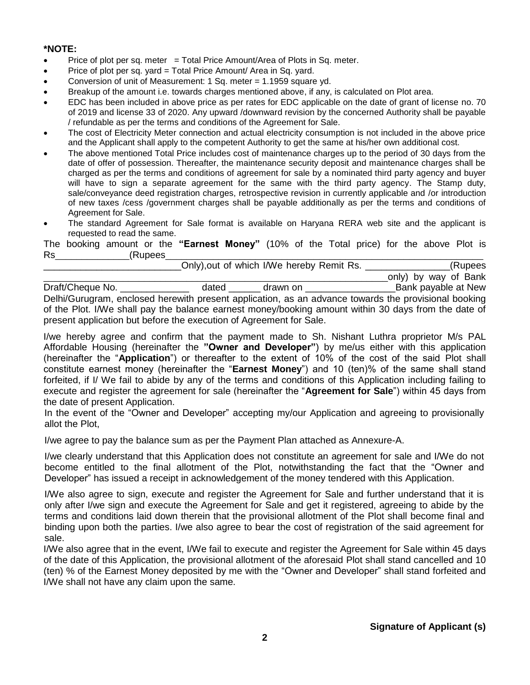### **\*NOTE:**

- Price of plot per sq. meter  $=$  Total Price Amount/Area of Plots in Sq. meter.
- Price of plot per sq. yard = Total Price Amount/ Area in Sq. yard.
- Conversion of unit of Measurement: 1 Sq. meter = 1.1959 square yd.
- Breakup of the amount i.e. towards charges mentioned above, if any, is calculated on Plot area.
- EDC has been included in above price as per rates for EDC applicable on the date of grant of license no. 70 of 2019 and license 33 of 2020. Any upward /downward revision by the concerned Authority shall be payable / refundable as per the terms and conditions of the Agreement for Sale.
- The cost of Electricity Meter connection and actual electricity consumption is not included in the above price and the Applicant shall apply to the competent Authority to get the same at his/her own additional cost.
- The above mentioned Total Price includes cost of maintenance charges up to the period of 30 days from the date of offer of possession. Thereafter, the maintenance security deposit and maintenance charges shall be charged as per the terms and conditions of agreement for sale by a nominated third party agency and buyer will have to sign a separate agreement for the same with the third party agency. The Stamp duty, sale/conveyance deed registration charges, retrospective revision in currently applicable and /or introduction of new taxes /cess /government charges shall be payable additionally as per the terms and conditions of Agreement for Sale.
- The standard Agreement for Sale format is available on Haryana RERA web site and the applicant is requested to read the same.

|           |  |         | The booking amount or the "Earnest Money" (10% of the Total price) for the above Plot is |  |  |  |  |  |  |
|-----------|--|---------|------------------------------------------------------------------------------------------|--|--|--|--|--|--|
| <b>Rs</b> |  | (Rupees |                                                                                          |  |  |  |  |  |  |

|                                                                     |       | Only), out of which I/We hereby Remit Rs. | (Rupees                                                                                              |
|---------------------------------------------------------------------|-------|-------------------------------------------|------------------------------------------------------------------------------------------------------|
|                                                                     |       |                                           | only) by way of Bank                                                                                 |
| Draft/Cheque No.                                                    | dated | drawn on                                  | Bank payable at New                                                                                  |
|                                                                     |       |                                           | Delhi/Gurugram, enclosed herewith present application, as an advance towards the provisional booking |
|                                                                     |       |                                           | of the Plot. I/We shall pay the balance earnest money/booking amount within 30 days from the date of |
| present application but before the execution of Agreement for Sale. |       |                                           |                                                                                                      |

I/we hereby agree and confirm that the payment made to Sh. Nishant Luthra proprietor M/s PAL Affordable Housing (hereinafter the **"Owner and Developer"**) by me/us either with this application (hereinafter the "**Application**") or thereafter to the extent of 10% of the cost of the said Plot shall constitute earnest money (hereinafter the "**Earnest Money**") and 10 (ten)% of the same shall stand forfeited, if I/ We fail to abide by any of the terms and conditions of this Application including failing to execute and register the agreement for sale (hereinafter the "**Agreement for Sale**") within 45 days from the date of present Application.

In the event of the "Owner and Developer" accepting my/our Application and agreeing to provisionally allot the Plot,

I/we agree to pay the balance sum as per the Payment Plan attached as Annexure-A.

I/we clearly understand that this Application does not constitute an agreement for sale and I/We do not become entitled to the final allotment of the Plot, notwithstanding the fact that the "Owner and Developer" has issued a receipt in acknowledgement of the money tendered with this Application.

I/We also agree to sign, execute and register the Agreement for Sale and further understand that it is only after I/we sign and execute the Agreement for Sale and get it registered, agreeing to abide by the terms and conditions laid down therein that the provisional allotment of the Plot shall become final and binding upon both the parties. I/we also agree to bear the cost of registration of the said agreement for sale.

I/We also agree that in the event, I/We fail to execute and register the Agreement for Sale within 45 days of the date of this Application, the provisional allotment of the aforesaid Plot shall stand cancelled and 10 (ten) % of the Earnest Money deposited by me with the "Owner and Developer" shall stand forfeited and I/We shall not have any claim upon the same.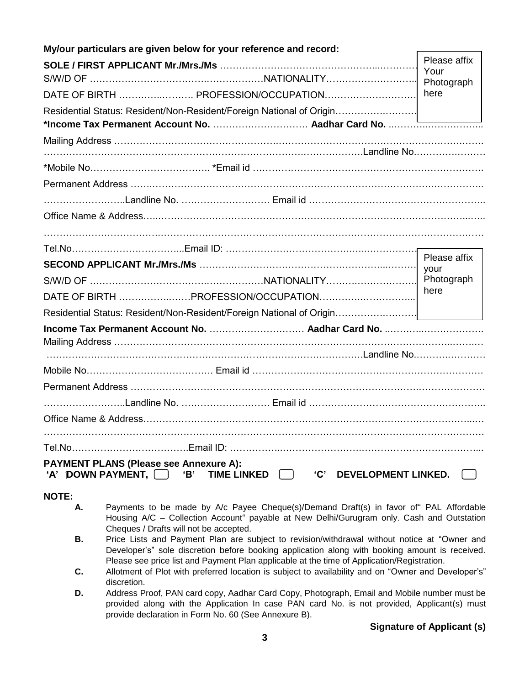|                                                                                                     | My/our particulars are given below for your reference and record:    | Please affix |  |  |  |
|-----------------------------------------------------------------------------------------------------|----------------------------------------------------------------------|--------------|--|--|--|
|                                                                                                     |                                                                      |              |  |  |  |
|                                                                                                     |                                                                      | Your         |  |  |  |
|                                                                                                     |                                                                      |              |  |  |  |
|                                                                                                     | Residential Status: Resident/Non-Resident/Foreign National of Origin |              |  |  |  |
|                                                                                                     |                                                                      |              |  |  |  |
|                                                                                                     | ………………………………………………………………………………………Landline No…………………                  |              |  |  |  |
|                                                                                                     |                                                                      |              |  |  |  |
|                                                                                                     |                                                                      |              |  |  |  |
|                                                                                                     |                                                                      |              |  |  |  |
|                                                                                                     |                                                                      |              |  |  |  |
|                                                                                                     |                                                                      |              |  |  |  |
|                                                                                                     |                                                                      | Please affix |  |  |  |
|                                                                                                     |                                                                      | your         |  |  |  |
|                                                                                                     |                                                                      |              |  |  |  |
|                                                                                                     | here                                                                 |              |  |  |  |
|                                                                                                     | Residential Status: Resident/Non-Resident/Foreign National of Origin |              |  |  |  |
|                                                                                                     | Income Tax Permanent Account No.  Aadhar Card No.                    |              |  |  |  |
|                                                                                                     |                                                                      |              |  |  |  |
|                                                                                                     |                                                                      |              |  |  |  |
|                                                                                                     |                                                                      |              |  |  |  |
|                                                                                                     |                                                                      |              |  |  |  |
|                                                                                                     |                                                                      |              |  |  |  |
|                                                                                                     |                                                                      |              |  |  |  |
|                                                                                                     |                                                                      |              |  |  |  |
|                                                                                                     |                                                                      |              |  |  |  |
| <b>PAYMENT PLANS (Please see Annexure A):</b><br>$A'$ (down payment, $\Box$ $B'$ time linked $\Box$ | ${^{\prime}}$ C $^{\prime}$<br><b>DEVELOPMENT LINKED.</b>            | $\Box$       |  |  |  |

#### **NOTE:**

- **A.** Payments to be made by A/c Payee Cheque(s)/Demand Draft(s) in favor of" PAL Affordable Housing A/C – Collection Account" payable at New Delhi/Gurugram only. Cash and Outstation Cheques / Drafts will not be accepted.
- **B.** Price Lists and Payment Plan are subject to revision/withdrawal without notice at "Owner and Developer's" sole discretion before booking application along with booking amount is received. Please see price list and Payment Plan applicable at the time of Application/Registration.
- **C.** Allotment of Plot with preferred location is subject to availability and on "Owner and Developer's" discretion.
- **D.** Address Proof, PAN card copy, Aadhar Card Copy, Photograph, Email and Mobile number must be provided along with the Application In case PAN card No. is not provided, Applicant(s) must provide declaration in Form No. 60 (See Annexure B).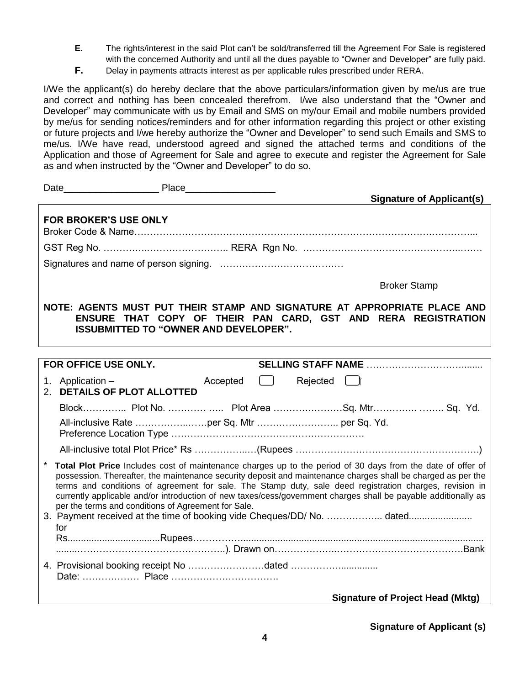- **E.** The rights/interest in the said Plot can't be sold/transferred till the Agreement For Sale is registered with the concerned Authority and until all the dues payable to "Owner and Developer" are fully paid.
- **F.** Delay in payments attracts interest as per applicable rules prescribed under RERA.

I/We the applicant(s) do hereby declare that the above particulars/information given by me/us are true and correct and nothing has been concealed therefrom. I/we also understand that the "Owner and Developer" may communicate with us by Email and SMS on my/our Email and mobile numbers provided by me/us for sending notices/reminders and for other information regarding this project or other existing or future projects and I/we hereby authorize the "Owner and Developer" to send such Emails and SMS to me/us. I/We have read, understood agreed and signed the attached terms and conditions of the Application and those of Agreement for Sale and agree to execute and register the Agreement for Sale as and when instructed by the "Owner and Developer" to do so.

| <b>Signature of Applicant(s)</b>                                                                                                                                                                                                                                                                                                                                                                                                                                                                                       |  |
|------------------------------------------------------------------------------------------------------------------------------------------------------------------------------------------------------------------------------------------------------------------------------------------------------------------------------------------------------------------------------------------------------------------------------------------------------------------------------------------------------------------------|--|
| <b>FOR BROKER'S USE ONLY</b>                                                                                                                                                                                                                                                                                                                                                                                                                                                                                           |  |
|                                                                                                                                                                                                                                                                                                                                                                                                                                                                                                                        |  |
|                                                                                                                                                                                                                                                                                                                                                                                                                                                                                                                        |  |
| <b>Broker Stamp</b>                                                                                                                                                                                                                                                                                                                                                                                                                                                                                                    |  |
| NOTE: AGENTS MUST PUT THEIR STAMP AND SIGNATURE AT APPROPRIATE PLACE AND<br>ENSURE THAT COPY OF THEIR PAN CARD, GST AND RERA REGISTRATION<br><b>ISSUBMITTED TO "OWNER AND DEVELOPER".</b>                                                                                                                                                                                                                                                                                                                              |  |
| FOR OFFICE USE ONLY.                                                                                                                                                                                                                                                                                                                                                                                                                                                                                                   |  |
| Accepted $\Box$<br>1. Application -<br>Rejected $\Box$<br>2. DETAILS OF PLOT ALLOTTED                                                                                                                                                                                                                                                                                                                                                                                                                                  |  |
|                                                                                                                                                                                                                                                                                                                                                                                                                                                                                                                        |  |
|                                                                                                                                                                                                                                                                                                                                                                                                                                                                                                                        |  |
| Total Plot Price Includes cost of maintenance charges up to the period of 30 days from the date of offer of<br>possession. Thereafter, the maintenance security deposit and maintenance charges shall be charged as per the<br>terms and conditions of agreement for sale. The Stamp duty, sale deed registration charges, revision in<br>currently applicable and/or introduction of new taxes/cess/government charges shall be payable additionally as<br>per the terms and conditions of Agreement for Sale.<br>for |  |
|                                                                                                                                                                                                                                                                                                                                                                                                                                                                                                                        |  |
| 4. Provisional booking receipt No dated                                                                                                                                                                                                                                                                                                                                                                                                                                                                                |  |
| <b>Signature of Project Head (Mktg)</b>                                                                                                                                                                                                                                                                                                                                                                                                                                                                                |  |

**Signature of Applicant (s)**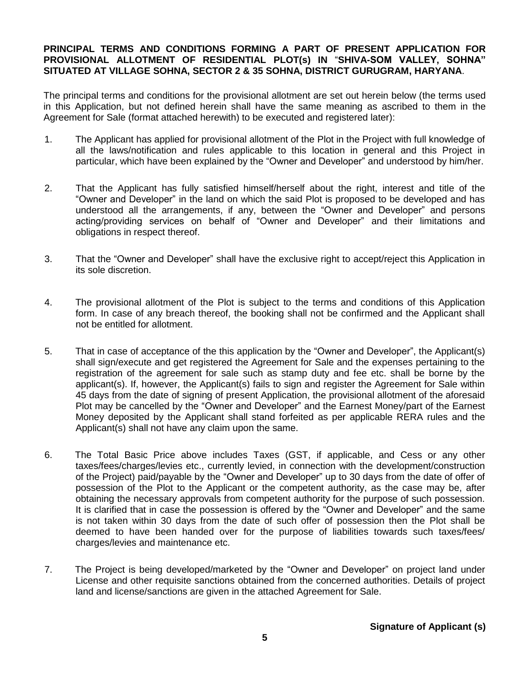### **PRINCIPAL TERMS AND CONDITIONS FORMING A PART OF PRESENT APPLICATION FOR PROVISIONAL ALLOTMENT OF RESIDENTIAL PLOT(s) IN** "**SHIVA-SOM VALLEY, SOHNA" SITUATED AT VILLAGE SOHNA, SECTOR 2 & 35 SOHNA, DISTRICT GURUGRAM, HARYANA**.

The principal terms and conditions for the provisional allotment are set out herein below (the terms used in this Application, but not defined herein shall have the same meaning as ascribed to them in the Agreement for Sale (format attached herewith) to be executed and registered later):

- 1. The Applicant has applied for provisional allotment of the Plot in the Project with full knowledge of all the laws/notification and rules applicable to this location in general and this Project in particular, which have been explained by the "Owner and Developer" and understood by him/her.
- 2. That the Applicant has fully satisfied himself/herself about the right, interest and title of the "Owner and Developer" in the land on which the said Plot is proposed to be developed and has understood all the arrangements, if any, between the "Owner and Developer" and persons acting/providing services on behalf of "Owner and Developer" and their limitations and obligations in respect thereof.
- 3. That the "Owner and Developer" shall have the exclusive right to accept/reject this Application in its sole discretion.
- 4. The provisional allotment of the Plot is subject to the terms and conditions of this Application form. In case of any breach thereof, the booking shall not be confirmed and the Applicant shall not be entitled for allotment.
- 5. That in case of acceptance of the this application by the "Owner and Developer", the Applicant(s) shall sign/execute and get registered the Agreement for Sale and the expenses pertaining to the registration of the agreement for sale such as stamp duty and fee etc. shall be borne by the applicant(s). If, however, the Applicant(s) fails to sign and register the Agreement for Sale within 45 days from the date of signing of present Application, the provisional allotment of the aforesaid Plot may be cancelled by the "Owner and Developer" and the Earnest Money/part of the Earnest Money deposited by the Applicant shall stand forfeited as per applicable RERA rules and the Applicant(s) shall not have any claim upon the same.
- 6. The Total Basic Price above includes Taxes (GST, if applicable, and Cess or any other taxes/fees/charges/levies etc., currently levied, in connection with the development/construction of the Project) paid/payable by the "Owner and Developer" up to 30 days from the date of offer of possession of the Plot to the Applicant or the competent authority, as the case may be, after obtaining the necessary approvals from competent authority for the purpose of such possession. It is clarified that in case the possession is offered by the "Owner and Developer" and the same is not taken within 30 days from the date of such offer of possession then the Plot shall be deemed to have been handed over for the purpose of liabilities towards such taxes/fees/ charges/levies and maintenance etc.
- 7. The Project is being developed/marketed by the "Owner and Developer" on project land under License and other requisite sanctions obtained from the concerned authorities. Details of project land and license/sanctions are given in the attached Agreement for Sale.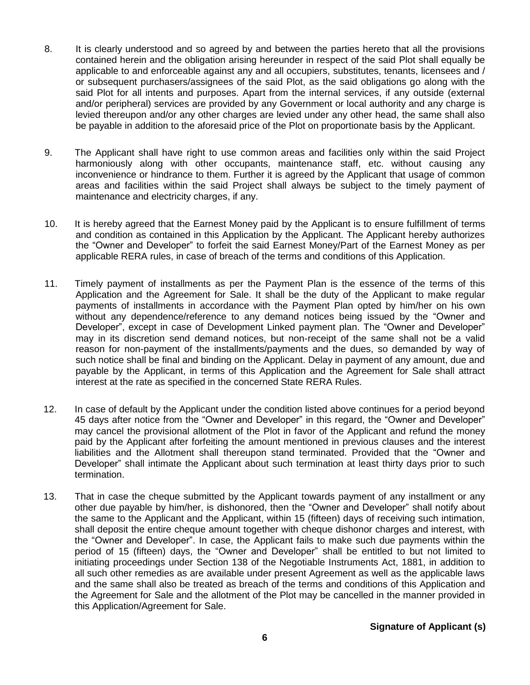- 8. It is clearly understood and so agreed by and between the parties hereto that all the provisions contained herein and the obligation arising hereunder in respect of the said Plot shall equally be applicable to and enforceable against any and all occupiers, substitutes, tenants, licensees and / or subsequent purchasers/assignees of the said Plot, as the said obligations go along with the said Plot for all intents and purposes. Apart from the internal services, if any outside (external and/or peripheral) services are provided by any Government or local authority and any charge is levied thereupon and/or any other charges are levied under any other head, the same shall also be payable in addition to the aforesaid price of the Plot on proportionate basis by the Applicant.
- 9. The Applicant shall have right to use common areas and facilities only within the said Project harmoniously along with other occupants, maintenance staff, etc. without causing any inconvenience or hindrance to them. Further it is agreed by the Applicant that usage of common areas and facilities within the said Project shall always be subject to the timely payment of maintenance and electricity charges, if any.
- 10. It is hereby agreed that the Earnest Money paid by the Applicant is to ensure fulfillment of terms and condition as contained in this Application by the Applicant. The Applicant hereby authorizes the "Owner and Developer" to forfeit the said Earnest Money/Part of the Earnest Money as per applicable RERA rules, in case of breach of the terms and conditions of this Application.
- 11. Timely payment of installments as per the Payment Plan is the essence of the terms of this Application and the Agreement for Sale. It shall be the duty of the Applicant to make regular payments of installments in accordance with the Payment Plan opted by him/her on his own without any dependence/reference to any demand notices being issued by the "Owner and Developer", except in case of Development Linked payment plan. The "Owner and Developer" may in its discretion send demand notices, but non-receipt of the same shall not be a valid reason for non-payment of the installments/payments and the dues, so demanded by way of such notice shall be final and binding on the Applicant. Delay in payment of any amount, due and payable by the Applicant, in terms of this Application and the Agreement for Sale shall attract interest at the rate as specified in the concerned State RERA Rules.
- 12. In case of default by the Applicant under the condition listed above continues for a period beyond 45 days after notice from the "Owner and Developer" in this regard, the "Owner and Developer" may cancel the provisional allotment of the Plot in favor of the Applicant and refund the money paid by the Applicant after forfeiting the amount mentioned in previous clauses and the interest liabilities and the Allotment shall thereupon stand terminated. Provided that the "Owner and Developer" shall intimate the Applicant about such termination at least thirty days prior to such termination.
- 13. That in case the cheque submitted by the Applicant towards payment of any installment or any other due payable by him/her, is dishonored, then the "Owner and Developer" shall notify about the same to the Applicant and the Applicant, within 15 (fifteen) days of receiving such intimation, shall deposit the entire cheque amount together with cheque dishonor charges and interest, with the "Owner and Developer". In case, the Applicant fails to make such due payments within the period of 15 (fifteen) days, the "Owner and Developer" shall be entitled to but not limited to initiating proceedings under Section 138 of the Negotiable Instruments Act, 1881, in addition to all such other remedies as are available under present Agreement as well as the applicable laws and the same shall also be treated as breach of the terms and conditions of this Application and the Agreement for Sale and the allotment of the Plot may be cancelled in the manner provided in this Application/Agreement for Sale.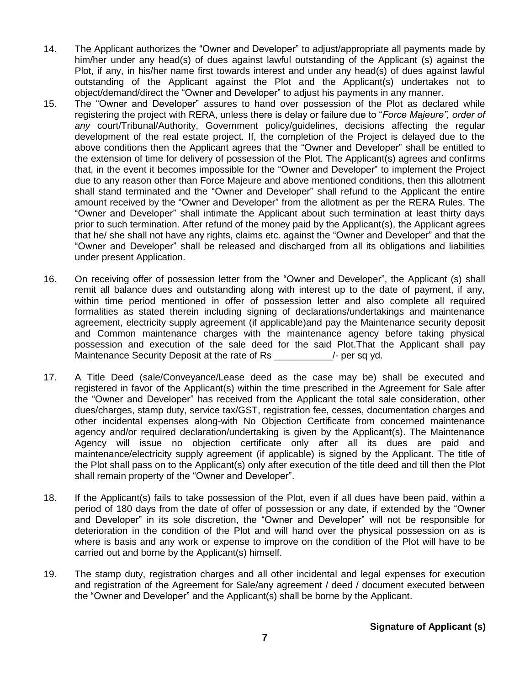- 14. The Applicant authorizes the "Owner and Developer" to adjust/appropriate all payments made by him/her under any head(s) of dues against lawful outstanding of the Applicant (s) against the Plot, if any, in his/her name first towards interest and under any head(s) of dues against lawful outstanding of the Applicant against the Plot and the Applicant(s) undertakes not to object/demand/direct the "Owner and Developer" to adjust his payments in any manner.
- 15. The "Owner and Developer" assures to hand over possession of the Plot as declared while registering the project with RERA, unless there is delay or failure due to "*Force Majeure", order of any* court/Tribunal/Authority, Government policy/guidelines, decisions affecting the regular development of the real estate project. If, the completion of the Project is delayed due to the above conditions then the Applicant agrees that the "Owner and Developer" shall be entitled to the extension of time for delivery of possession of the Plot. The Applicant(s) agrees and confirms that, in the event it becomes impossible for the "Owner and Developer" to implement the Project due to any reason other than Force Majeure and above mentioned conditions, then this allotment shall stand terminated and the "Owner and Developer" shall refund to the Applicant the entire amount received by the "Owner and Developer" from the allotment as per the RERA Rules. The "Owner and Developer" shall intimate the Applicant about such termination at least thirty days prior to such termination. After refund of the money paid by the Applicant(s), the Applicant agrees that he/ she shall not have any rights, claims etc. against the "Owner and Developer" and that the "Owner and Developer" shall be released and discharged from all its obligations and liabilities under present Application.
- 16. On receiving offer of possession letter from the "Owner and Developer", the Applicant (s) shall remit all balance dues and outstanding along with interest up to the date of payment, if any, within time period mentioned in offer of possession letter and also complete all required formalities as stated therein including signing of declarations/undertakings and maintenance agreement, electricity supply agreement (if applicable)and pay the Maintenance security deposit and Common maintenance charges with the maintenance agency before taking physical possession and execution of the sale deed for the said Plot.That the Applicant shall pay Maintenance Security Deposit at the rate of Rs \_\_\_\_\_\_\_\_\_\_/- per sq yd.
- 17. A Title Deed (sale/Conveyance/Lease deed as the case may be) shall be executed and registered in favor of the Applicant(s) within the time prescribed in the Agreement for Sale after the "Owner and Developer" has received from the Applicant the total sale consideration, other dues/charges, stamp duty, service tax/GST, registration fee, cesses, documentation charges and other incidental expenses along-with No Objection Certificate from concerned maintenance agency and/or required declaration/undertaking is given by the Applicant(s). The Maintenance Agency will issue no objection certificate only after all its dues are paid and maintenance/electricity supply agreement (if applicable) is signed by the Applicant. The title of the Plot shall pass on to the Applicant(s) only after execution of the title deed and till then the Plot shall remain property of the "Owner and Developer".
- 18. If the Applicant(s) fails to take possession of the Plot, even if all dues have been paid, within a period of 180 days from the date of offer of possession or any date, if extended by the "Owner and Developer" in its sole discretion, the "Owner and Developer" will not be responsible for deterioration in the condition of the Plot and will hand over the physical possession on as is where is basis and any work or expense to improve on the condition of the Plot will have to be carried out and borne by the Applicant(s) himself.
- 19. The stamp duty, registration charges and all other incidental and legal expenses for execution and registration of the Agreement for Sale/any agreement / deed / document executed between the "Owner and Developer" and the Applicant(s) shall be borne by the Applicant.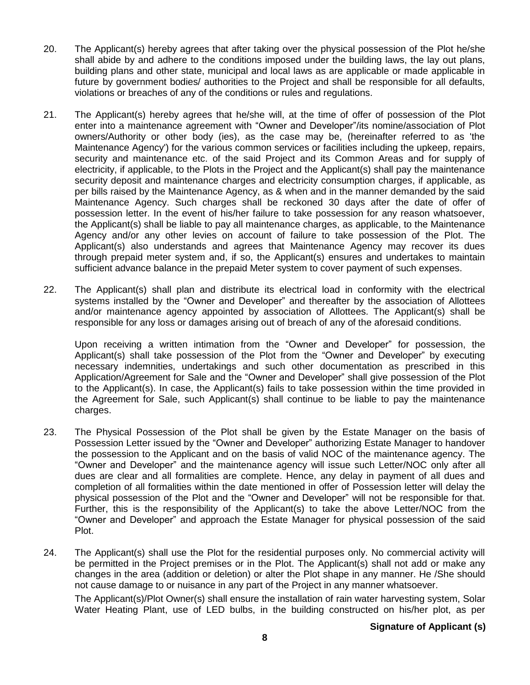- 20. The Applicant(s) hereby agrees that after taking over the physical possession of the Plot he/she shall abide by and adhere to the conditions imposed under the building laws, the lay out plans, building plans and other state, municipal and local laws as are applicable or made applicable in future by government bodies/ authorities to the Project and shall be responsible for all defaults, violations or breaches of any of the conditions or rules and regulations.
- 21. The Applicant(s) hereby agrees that he/she will, at the time of offer of possession of the Plot enter into a maintenance agreement with "Owner and Developer"/its nomine/association of Plot owners/Authority or other body (ies), as the case may be, (hereinafter referred to as 'the Maintenance Agency') for the various common services or facilities including the upkeep, repairs, security and maintenance etc. of the said Project and its Common Areas and for supply of electricity, if applicable, to the Plots in the Project and the Applicant(s) shall pay the maintenance security deposit and maintenance charges and electricity consumption charges, if applicable, as per bills raised by the Maintenance Agency, as & when and in the manner demanded by the said Maintenance Agency. Such charges shall be reckoned 30 days after the date of offer of possession letter. In the event of his/her failure to take possession for any reason whatsoever, the Applicant(s) shall be liable to pay all maintenance charges, as applicable, to the Maintenance Agency and/or any other levies on account of failure to take possession of the Plot. The Applicant(s) also understands and agrees that Maintenance Agency may recover its dues through prepaid meter system and, if so, the Applicant(s) ensures and undertakes to maintain sufficient advance balance in the prepaid Meter system to cover payment of such expenses.
- 22. The Applicant(s) shall plan and distribute its electrical load in conformity with the electrical systems installed by the "Owner and Developer" and thereafter by the association of Allottees and/or maintenance agency appointed by association of Allottees. The Applicant(s) shall be responsible for any loss or damages arising out of breach of any of the aforesaid conditions.

Upon receiving a written intimation from the "Owner and Developer" for possession, the Applicant(s) shall take possession of the Plot from the "Owner and Developer" by executing necessary indemnities, undertakings and such other documentation as prescribed in this Application/Agreement for Sale and the "Owner and Developer" shall give possession of the Plot to the Applicant(s). In case, the Applicant(s) fails to take possession within the time provided in the Agreement for Sale, such Applicant(s) shall continue to be liable to pay the maintenance charges.

- 23. The Physical Possession of the Plot shall be given by the Estate Manager on the basis of Possession Letter issued by the "Owner and Developer" authorizing Estate Manager to handover the possession to the Applicant and on the basis of valid NOC of the maintenance agency. The "Owner and Developer" and the maintenance agency will issue such Letter/NOC only after all dues are clear and all formalities are complete. Hence, any delay in payment of all dues and completion of all formalities within the date mentioned in offer of Possession letter will delay the physical possession of the Plot and the "Owner and Developer" will not be responsible for that. Further, this is the responsibility of the Applicant(s) to take the above Letter/NOC from the "Owner and Developer" and approach the Estate Manager for physical possession of the said Plot.
- 24. The Applicant(s) shall use the Plot for the residential purposes only. No commercial activity will be permitted in the Project premises or in the Plot. The Applicant(s) shall not add or make any changes in the area (addition or deletion) or alter the Plot shape in any manner. He /She should not cause damage to or nuisance in any part of the Project in any manner whatsoever. The Applicant(s)/Plot Owner(s) shall ensure the installation of rain water harvesting system, Solar Water Heating Plant, use of LED bulbs, in the building constructed on his/her plot, as per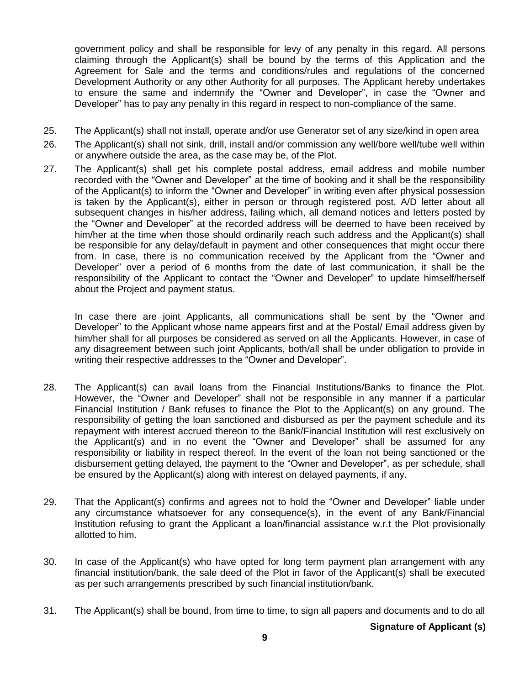government policy and shall be responsible for levy of any penalty in this regard. All persons claiming through the Applicant(s) shall be bound by the terms of this Application and the Agreement for Sale and the terms and conditions/rules and regulations of the concerned Development Authority or any other Authority for all purposes. The Applicant hereby undertakes to ensure the same and indemnify the "Owner and Developer", in case the "Owner and Developer" has to pay any penalty in this regard in respect to non-compliance of the same.

- 25. The Applicant(s) shall not install, operate and/or use Generator set of any size/kind in open area
- 26. The Applicant(s) shall not sink, drill, install and/or commission any well/bore well/tube well within or anywhere outside the area, as the case may be, of the Plot.
- 27. The Applicant(s) shall get his complete postal address, email address and mobile number recorded with the "Owner and Developer" at the time of booking and it shall be the responsibility of the Applicant(s) to inform the "Owner and Developer" in writing even after physical possession is taken by the Applicant(s), either in person or through registered post, A/D letter about all subsequent changes in his/her address, failing which, all demand notices and letters posted by the "Owner and Developer" at the recorded address will be deemed to have been received by him/her at the time when those should ordinarily reach such address and the Applicant(s) shall be responsible for any delay/default in payment and other consequences that might occur there from. In case, there is no communication received by the Applicant from the "Owner and Developer" over a period of 6 months from the date of last communication, it shall be the responsibility of the Applicant to contact the "Owner and Developer" to update himself/herself about the Project and payment status.

In case there are joint Applicants, all communications shall be sent by the "Owner and Developer" to the Applicant whose name appears first and at the Postal/ Email address given by him/her shall for all purposes be considered as served on all the Applicants. However, in case of any disagreement between such joint Applicants, both/all shall be under obligation to provide in writing their respective addresses to the "Owner and Developer".

- 28. The Applicant(s) can avail loans from the Financial Institutions/Banks to finance the Plot. However, the "Owner and Developer" shall not be responsible in any manner if a particular Financial Institution / Bank refuses to finance the Plot to the Applicant(s) on any ground. The responsibility of getting the loan sanctioned and disbursed as per the payment schedule and its repayment with interest accrued thereon to the Bank/Financial Institution will rest exclusively on the Applicant(s) and in no event the "Owner and Developer" shall be assumed for any responsibility or liability in respect thereof. In the event of the loan not being sanctioned or the disbursement getting delayed, the payment to the "Owner and Developer", as per schedule, shall be ensured by the Applicant(s) along with interest on delayed payments, if any.
- 29. That the Applicant(s) confirms and agrees not to hold the "Owner and Developer" liable under any circumstance whatsoever for any consequence(s), in the event of any Bank/Financial Institution refusing to grant the Applicant a loan/financial assistance w.r.t the Plot provisionally allotted to him.
- 30. In case of the Applicant(s) who have opted for long term payment plan arrangement with any financial institution/bank, the sale deed of the Plot in favor of the Applicant(s) shall be executed as per such arrangements prescribed by such financial institution/bank.
- 31. The Applicant(s) shall be bound, from time to time, to sign all papers and documents and to do all

**Signature of Applicant (s)**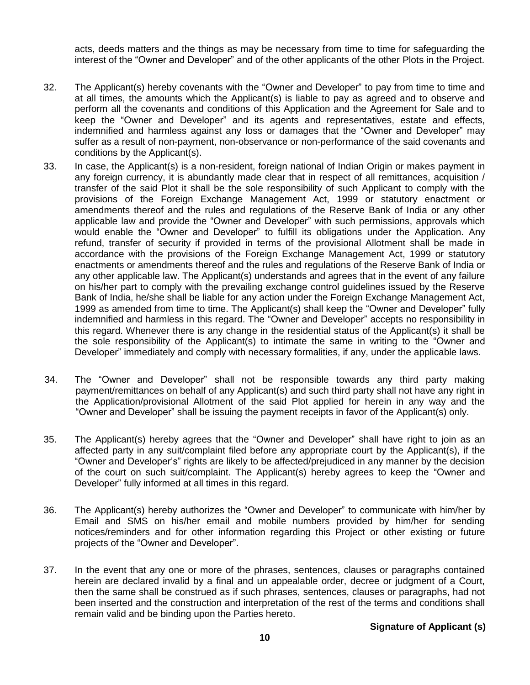acts, deeds matters and the things as may be necessary from time to time for safeguarding the interest of the "Owner and Developer" and of the other applicants of the other Plots in the Project.

- 32. The Applicant(s) hereby covenants with the "Owner and Developer" to pay from time to time and at all times, the amounts which the Applicant(s) is liable to pay as agreed and to observe and perform all the covenants and conditions of this Application and the Agreement for Sale and to keep the "Owner and Developer" and its agents and representatives, estate and effects, indemnified and harmless against any loss or damages that the "Owner and Developer" may suffer as a result of non-payment, non-observance or non-performance of the said covenants and conditions by the Applicant(s).
- 33. In case, the Applicant(s) is a non-resident, foreign national of Indian Origin or makes payment in any foreign currency, it is abundantly made clear that in respect of all remittances, acquisition / transfer of the said Plot it shall be the sole responsibility of such Applicant to comply with the provisions of the Foreign Exchange Management Act, 1999 or statutory enactment or amendments thereof and the rules and regulations of the Reserve Bank of India or any other applicable law and provide the "Owner and Developer" with such permissions, approvals which would enable the "Owner and Developer" to fulfill its obligations under the Application. Any refund, transfer of security if provided in terms of the provisional Allotment shall be made in accordance with the provisions of the Foreign Exchange Management Act, 1999 or statutory enactments or amendments thereof and the rules and regulations of the Reserve Bank of India or any other applicable law. The Applicant(s) understands and agrees that in the event of any failure on his/her part to comply with the prevailing exchange control guidelines issued by the Reserve Bank of India, he/she shall be liable for any action under the Foreign Exchange Management Act, 1999 as amended from time to time. The Applicant(s) shall keep the "Owner and Developer" fully indemnified and harmless in this regard. The "Owner and Developer" accepts no responsibility in this regard. Whenever there is any change in the residential status of the Applicant(s) it shall be the sole responsibility of the Applicant(s) to intimate the same in writing to the "Owner and Developer" immediately and comply with necessary formalities, if any, under the applicable laws.
- 34. The "Owner and Developer" shall not be responsible towards any third party making payment/remittances on behalf of any Applicant(s) and such third party shall not have any right in the Application/provisional Allotment of the said Plot applied for herein in any way and the "Owner and Developer" shall be issuing the payment receipts in favor of the Applicant(s) only.
- 35. The Applicant(s) hereby agrees that the "Owner and Developer" shall have right to join as an affected party in any suit/complaint filed before any appropriate court by the Applicant(s), if the "Owner and Developer's" rights are likely to be affected/prejudiced in any manner by the decision of the court on such suit/complaint. The Applicant(s) hereby agrees to keep the "Owner and Developer" fully informed at all times in this regard.
- 36. The Applicant(s) hereby authorizes the "Owner and Developer" to communicate with him/her by Email and SMS on his/her email and mobile numbers provided by him/her for sending notices/reminders and for other information regarding this Project or other existing or future projects of the "Owner and Developer".
- 37. In the event that any one or more of the phrases, sentences, clauses or paragraphs contained herein are declared invalid by a final and un appealable order, decree or judgment of a Court, then the same shall be construed as if such phrases, sentences, clauses or paragraphs, had not been inserted and the construction and interpretation of the rest of the terms and conditions shall remain valid and be binding upon the Parties hereto.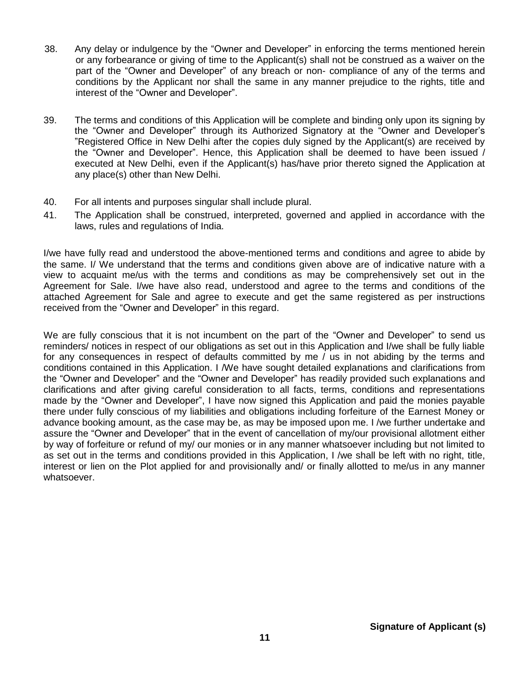- 38. Any delay or indulgence by the "Owner and Developer" in enforcing the terms mentioned herein or any forbearance or giving of time to the Applicant(s) shall not be construed as a waiver on the part of the "Owner and Developer" of any breach or non- compliance of any of the terms and conditions by the Applicant nor shall the same in any manner prejudice to the rights, title and interest of the "Owner and Developer".
- 39. The terms and conditions of this Application will be complete and binding only upon its signing by the "Owner and Developer" through its Authorized Signatory at the "Owner and Developer's "Registered Office in New Delhi after the copies duly signed by the Applicant(s) are received by the "Owner and Developer". Hence, this Application shall be deemed to have been issued / executed at New Delhi, even if the Applicant(s) has/have prior thereto signed the Application at any place(s) other than New Delhi.
- 40. For all intents and purposes singular shall include plural.
- 41. The Application shall be construed, interpreted, governed and applied in accordance with the laws, rules and regulations of India.

I/we have fully read and understood the above-mentioned terms and conditions and agree to abide by the same. I/ We understand that the terms and conditions given above are of indicative nature with a view to acquaint me/us with the terms and conditions as may be comprehensively set out in the Agreement for Sale. I/we have also read, understood and agree to the terms and conditions of the attached Agreement for Sale and agree to execute and get the same registered as per instructions received from the "Owner and Developer" in this regard.

We are fully conscious that it is not incumbent on the part of the "Owner and Developer" to send us reminders/ notices in respect of our obligations as set out in this Application and I/we shall be fully liable for any consequences in respect of defaults committed by me / us in not abiding by the terms and conditions contained in this Application. I /We have sought detailed explanations and clarifications from the "Owner and Developer" and the "Owner and Developer" has readily provided such explanations and clarifications and after giving careful consideration to all facts, terms, conditions and representations made by the "Owner and Developer", I have now signed this Application and paid the monies payable there under fully conscious of my liabilities and obligations including forfeiture of the Earnest Money or advance booking amount, as the case may be, as may be imposed upon me. I /we further undertake and assure the "Owner and Developer" that in the event of cancellation of my/our provisional allotment either by way of forfeiture or refund of my/ our monies or in any manner whatsoever including but not limited to as set out in the terms and conditions provided in this Application, I /we shall be left with no right, title, interest or lien on the Plot applied for and provisionally and/ or finally allotted to me/us in any manner whatsoever.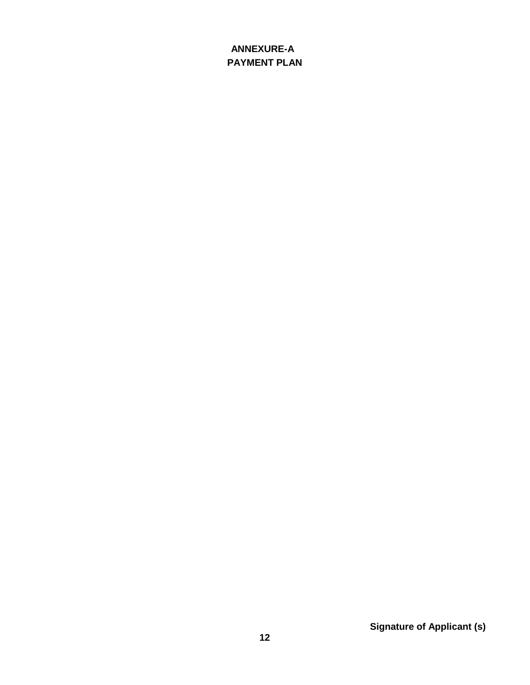# **ANNEXURE-A PAYMENT PLAN**

**Signature of Applicant (s)**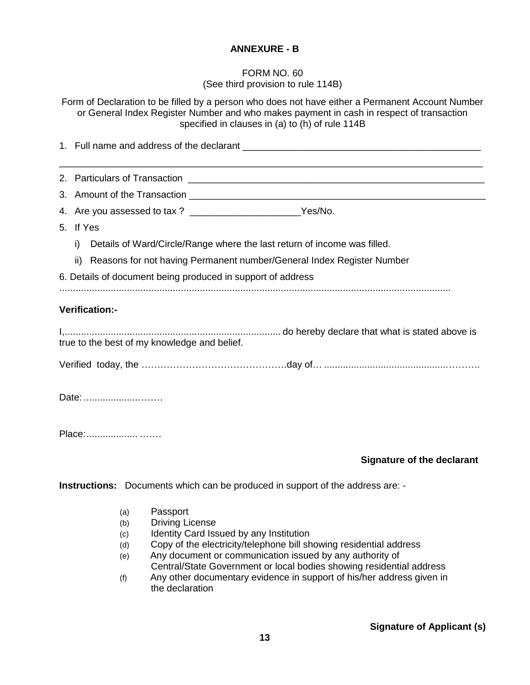## **ANNEXURE - B**

## FORM NO. 60 (See third provision to rule 114B)

Form of Declaration to be filled by a person who does not have either a Permanent Account Number or General Index Register Number and who makes payment in cash in respect of transaction specified in clauses in (a) to (h) of rule 114B 1. Full name and address of the declarant \_\_\_\_\_\_\_\_\_\_\_\_\_\_\_\_\_\_\_\_\_\_\_\_\_\_\_\_\_\_\_\_\_\_\_\_\_\_\_\_\_\_\_\_\_ \_\_\_\_\_\_\_\_\_\_\_\_\_\_\_\_\_\_\_\_\_\_\_\_\_\_\_\_\_\_\_\_\_\_\_\_\_\_\_\_\_\_\_\_\_\_\_\_\_\_\_\_\_\_\_\_\_\_\_\_\_\_\_\_\_\_\_\_\_\_\_\_\_\_\_\_\_\_\_\_

2. Particulars of Transaction **Example 2.** Particulars of Transaction 3. Amount of the Transaction \_\_\_\_\_\_\_\_\_\_\_\_\_\_\_\_\_\_\_\_\_\_\_\_\_\_\_\_\_\_\_\_\_\_\_\_\_\_\_\_\_\_\_\_\_\_\_\_\_\_\_\_\_\_\_\_ 4. Are you assessed to tax ? \_\_\_\_\_\_\_\_\_\_\_\_\_\_\_\_\_\_\_\_\_Yes/No. 5. If Yes i) Details of Ward/Circle/Range where the last return of income was filled. ii) Reasons for not having Permanent number/General Index Register Number 6. Details of document being produced in support of address ................................................................................................................................................. **Verification:-** I,................................................................................ do hereby declare that what is stated above is true to the best of my knowledge and belief. Verified today, the ……………………………………….day of… ..............................................……….

Date: ............................

Place:............................

## **Signature of the declarant**

**Instructions:** Documents which can be produced in support of the address are: -

- (a) Passport
- (b) Driving License
- (c) Identity Card Issued by any Institution
- (d) Copy of the electricity/telephone bill showing residential address
- (e) Any document or communication issued by any authority of Central/State Government or local bodies showing residential address
- (f) Any other documentary evidence in support of his/her address given in the declaration